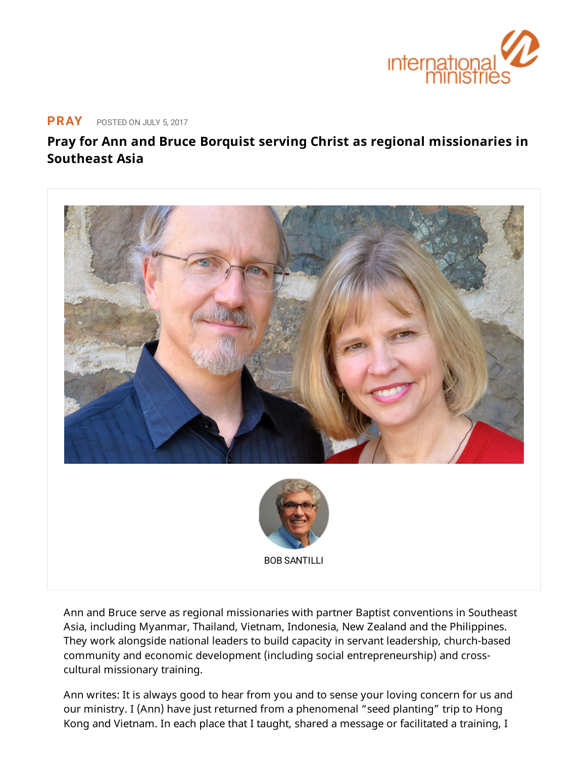

## **[PRAY](https://www.internationalministries.org/category/pray/)** POSTED ON JULY 5, <sup>2017</sup>

## **Pray for Ann and Bruce Borquist serving Christ as regional missionaries in Southeast Asia**



BOB [SANTILLI](https://www.internationalministries.org/author/bob-santilli/)

Ann and Bruce serve as regional missionaries with partner Baptist conventions in Southeast Asia, including Myanmar, Thailand, Vietnam, Indonesia, New Zealand and the Philippines. They work alongside national leaders to build capacity in servant leadership, church-based community and economic development (including social entrepreneurship) and crosscultural missionary training.

Ann writes: It is always good to hear from you and to sense your loving concern for us and our ministry. I (Ann) have just returned from a phenomenal "seed planting" trip to Hong Kong and Vietnam. In each place that I taught, shared a message or facilitated a training, I